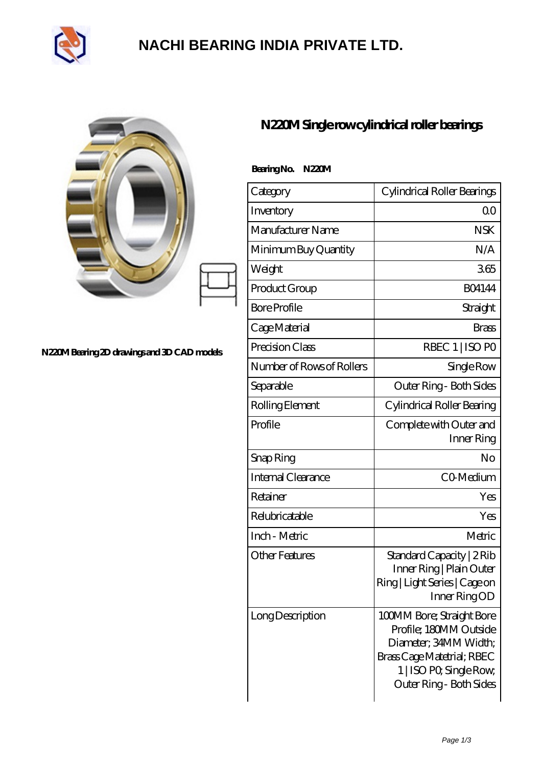

# **[NACHI BEARING INDIA PRIVATE LTD.](https://pipilatou.com)**

#### **[N220M Bearing 2D drawings and 3D CAD models](https://pipilatou.com/pic-207389.html)**

### **[N220M Single row cylindrical roller bearings](https://pipilatou.com/bh-207389-n220m-single-row-cylindrical-roller-bearings.html)**

| Bearing No.<br>N220M      |                                                                                                                                                                  |  |  |  |
|---------------------------|------------------------------------------------------------------------------------------------------------------------------------------------------------------|--|--|--|
| Category                  | Cylindrical Roller Bearings                                                                                                                                      |  |  |  |
| Inventory                 | 0 <sub>0</sub>                                                                                                                                                   |  |  |  |
| Manufacturer Name         | NSK                                                                                                                                                              |  |  |  |
| Minimum Buy Quantity      | N/A                                                                                                                                                              |  |  |  |
| Weight                    | 365                                                                                                                                                              |  |  |  |
| Product Group             | <b>BO4144</b>                                                                                                                                                    |  |  |  |
| <b>Bore Profile</b>       | Straight                                                                                                                                                         |  |  |  |
| Cage Material             | <b>Brass</b>                                                                                                                                                     |  |  |  |
| Precision Class           | RBEC 1   ISO PO                                                                                                                                                  |  |  |  |
| Number of Rows of Rollers | Single Row                                                                                                                                                       |  |  |  |
| Separable                 | Outer Ring - Both Sides                                                                                                                                          |  |  |  |
| Rolling Element           | Cylindrical Roller Bearing                                                                                                                                       |  |  |  |
| Profile                   | Complete with Outer and<br>Inner Ring                                                                                                                            |  |  |  |
| Snap Ring                 | No                                                                                                                                                               |  |  |  |
| Internal Clearance        | CO-Medium                                                                                                                                                        |  |  |  |
| Retainer                  | Yes                                                                                                                                                              |  |  |  |
| Relubricatable            | Yes                                                                                                                                                              |  |  |  |
| Inch - Metric             | Metric                                                                                                                                                           |  |  |  |
| <b>Other Features</b>     | Standard Capacity   2 Rib<br>Inner Ring   Plain Outer<br>Ring   Light Series   Cage on<br>Inner RingOD                                                           |  |  |  |
| Long Description          | 100MM Bore; Straight Bore<br>Profile; 180MM Outside<br>Diameter, 34MM Width;<br>Brass Cage Matetrial; RBEC<br>1   ISO PO, Single Row,<br>Outer Ring - Both Sides |  |  |  |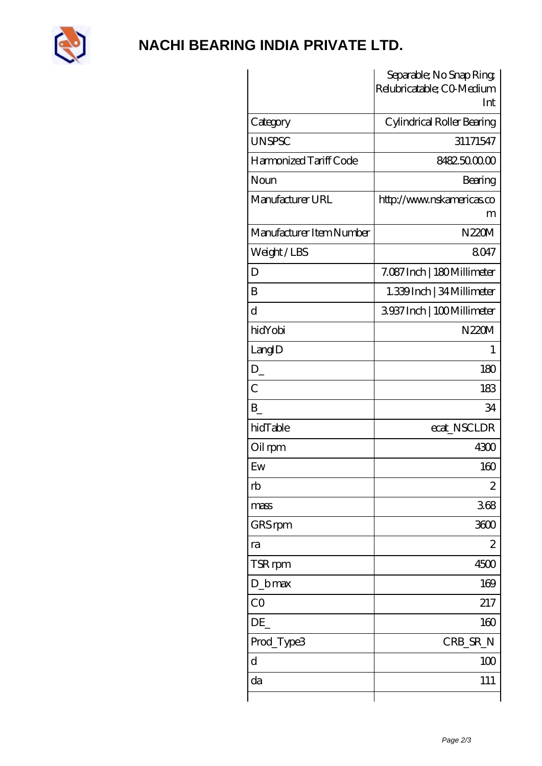

## NACHI BEARING INDIA PRIVATE LTD.

|                          | Separable; No Snap Ring;<br>Relubricatable; CO-Medium<br>Int |
|--------------------------|--------------------------------------------------------------|
| Category                 | Cylindrical Roller Bearing                                   |
| <b>UNSPSC</b>            | 31171547                                                     |
| Harmonized Tariff Code   | 8482500000                                                   |
| Noun                     | Bearing                                                      |
| Manufacturer URL         | http://www.nskamericas.co<br>m                               |
| Manufacturer Item Number | N220M                                                        |
| Weight/LBS               | 8047                                                         |
| D                        | 7.087 Inch   180 Millimeter                                  |
| B                        | 1.339Inch   34 Millimeter                                    |
| $\overline{\rm d}$       | 3937Inch   100Millimeter                                     |
| hidYobi                  | N220M                                                        |
| LangID                   | 1                                                            |
| $D_{-}$                  | 180                                                          |
| $\overline{C}$           | 183                                                          |
| B                        | 34                                                           |
| hidTable                 | ecat_NSCLDR                                                  |
| Oil rpm                  | 4300                                                         |
| Ew                       | 160                                                          |
| rb                       | $\overline{c}$                                               |
| mass                     | 368                                                          |
| GRS rpm                  | 3600                                                         |
| ra                       | $\overline{c}$                                               |
| TSR rpm                  | 4500                                                         |
| $D_b$ max                | 169                                                          |
| CO                       | 217                                                          |
| DE                       | 160                                                          |
| Prod_Type3               | CRB_SR_N                                                     |
| $\mathbf d$              | 100                                                          |
| da                       | 111                                                          |
|                          |                                                              |